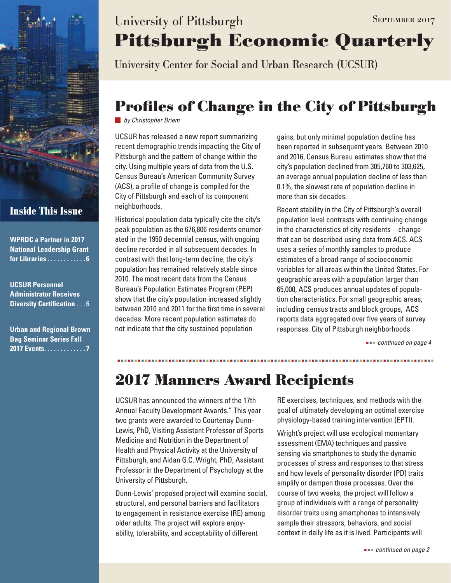

### **Inside This Issue**

| <b>WPRDC a Partner in 2017</b>                        |
|-------------------------------------------------------|
| <b>National Leadership Grant</b>                      |
| for Libraries $\overline{\ldots\ldots\ldots\ldots 6}$ |

**UCSUR Personnel Administrator Receives Diversity Certification** . . . 6

**Urban and Regional Brown Bag Seminar Series Fall 2017 Events . . . . . . . . . . . . 7**

# **Pittsburgh Economic Quarterly** University of Pittsburgh SEPTEMBER 2017

University Center for Social and Urban Research (UCSUR)

# **Profiles of Change in the City of Pittsburgh**

*by Christopher Briem*

UCSUR has released a new report summarizing recent demographic trends impacting the City of Pittsburgh and the pattern of change within the city. Using multiple years of data from the U.S. Census Bureau's American Community Survey (ACS), a profile of change is compiled for the City of Pittsburgh and each of its component neighborhoods.

Historical population data typically cite the city's peak population as the 676,806 residents enumerated in the 1950 decennial census, with ongoing decline recorded in all subsequent decades. In contrast with that long-term decline, the city's population has remained relatively stable since 2010. The most recent data from the Census Bureau's Population Estimates Program (PEP) show that the city's population increased slightly between 2010 and 2011 for the first time in several decades. More recent population estimates do not indicate that the city sustained population

gains, but only minimal population decline has been reported in subsequent years. Between 2010 and 2016, Census Bureau estimates show that the city's population declined from 305,760 to 303,625, an average annual population decline of less than 0.1%, the slowest rate of population decline in more than six decades.

Recent stability in the City of Pittsburgh's overall population level contrasts with continuing change in the characteristics of city residents—change that can be described using data from ACS. ACS uses a series of monthly samples to produce estimates of a broad range of socioeconomic variables for all areas within the United States. For geographic areas with a population larger than 65,000, ACS produces annual updates of population characteristics. For small geographic areas, including census tracts and block groups, ACS reports data aggregated over five years of survey responses. City of Pittsburgh neighborhoods

 *continued on page 4*

## **2017 Manners Award Recipients**

UCSUR has announced the winners of the 17th Annual Faculty Development Awards." This year two grants were awarded to Courtenay Dunn-Lewis, PhD, Visiting Assistant Professor of Sports Medicine and Nutrition in the Department of Health and Physical Activity at the University of Pittsburgh, and Aidan G.C. Wright, PhD, Assistant Professor in the Department of Psychology at the University of Pittsburgh.

Dunn-Lewis' proposed project will examine social, structural, and personal barriers and facilitators to engagement in resistance exercise (RE) among older adults. The project will explore enjoyability, tolerability, and acceptability of different

RE exercises, techniques, and methods with the goal of ultimately developing an optimal exercise physiology-based training intervention (EPTI).

Wright's project will use ecological momentary assessment (EMA) techniques and passive sensing via smartphones to study the dynamic processes of stress and responses to that stress and how levels of personality disorder (PD) traits amplify or dampen those processes. Over the course of two weeks, the project will follow a group of individuals with a range of personality disorder traits using smartphones to intensively sample their stressors, behaviors, and social context in daily life as it is lived. Participants will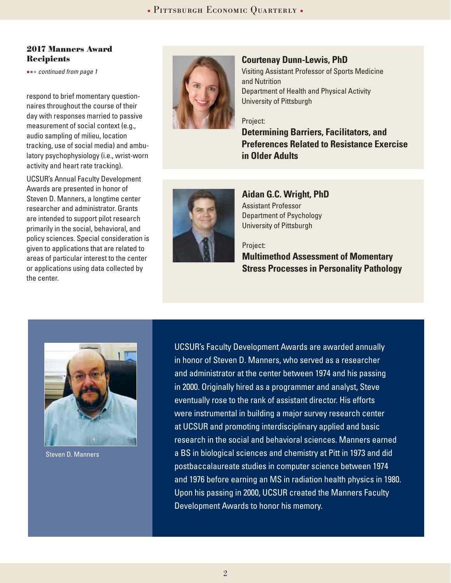#### **2017 Manners Award Recipients**

 *continued from page 1*

respond to brief momentary questionnaires throughout the course of their day with responses married to passive measurement of social context (e.g., audio sampling of milieu, location tracking, use of social media) and ambulatory psychophysiology (i.e., wrist-worn activity and heart rate tracking).

UCSUR's Annual Faculty Development Awards are presented in honor of Steven D. Manners, a longtime center researcher and administrator. Grants are intended to support pilot research primarily in the social, behavioral, and policy sciences. Special consideration is given to applications that are related to areas of particular interest to the center or applications using data collected by the center.



#### **Courtenay Dunn-Lewis, PhD**

Visiting Assistant Professor of Sports Medicine and Nutrition Department of Health and Physical Activity University of Pittsburgh

#### Project:

**Determining Barriers, Facilitators, and Preferences Related to Resistance Exercise in Older Adults**



**Aidan G.C. Wright, PhD** Assistant Professor Department of Psychology University of Pittsburgh

#### Project:

**Multimethod Assessment of Momentary Stress Processes in Personality Pathology** 



Steven D. Manners

UCSUR's Faculty Development Awards are awarded annually in honor of Steven D. Manners, who served as a researcher and administrator at the center between 1974 and his passing in 2000. Originally hired as a programmer and analyst, Steve eventually rose to the rank of assistant director. His efforts were instrumental in building a major survey research center at UCSUR and promoting interdisciplinary applied and basic research in the social and behavioral sciences. Manners earned a BS in biological sciences and chemistry at Pitt in 1973 and did postbaccalaureate studies in computer science between 1974 and 1976 before earning an MS in radiation health physics in 1980. Upon his passing in 2000, UCSUR created the Manners Faculty Development Awards to honor his memory.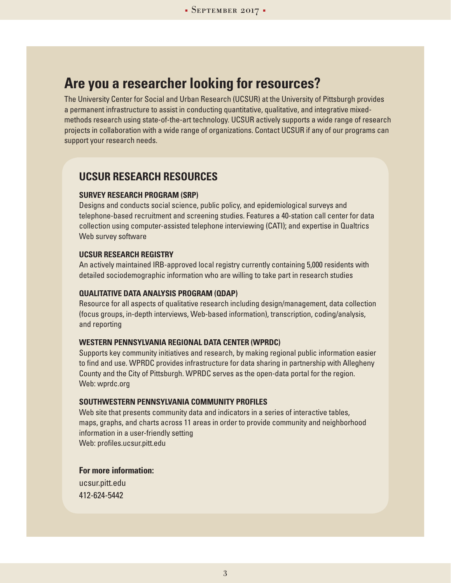### **Are you a researcher looking for resources?**

The University Center for Social and Urban Research (UCSUR) at the University of Pittsburgh provides a permanent infrastructure to assist in conducting quantitative, qualitative, and integrative mixedmethods research using state-of-the-art technology. UCSUR actively supports a wide range of research projects in collaboration with a wide range of organizations. Contact UCSUR if any of our programs can support your research needs.

### **UCSUR RESEARCH RESOURCES**

#### **SURVEY RESEARCH PROGRAM (SRP)**

Designs and conducts social science, public policy, and epidemiological surveys and telephone-based recruitment and screening studies. Features a 40-station call center for data collection using computer-assisted telephone interviewing (CATI); and expertise in Qualtrics Web survey software

#### **UCSUR RESEARCH REGISTRY**

An actively maintained IRB-approved local registry currently containing 5,000 residents with detailed sociodemographic information who are willing to take part in research studies

#### **QUALITATIVE DATA ANALYSIS PROGRAM (QDAP)**

Resource for all aspects of qualitative research including design/management, data collection (focus groups, in-depth interviews, Web-based information), transcription, coding/analysis, and reporting

#### **WESTERN PENNSYLVANIA REGIONAL DATA CENTER (WPRDC)**

Supports key community initiatives and research, by making regional public information easier to find and use. WPRDC provides infrastructure for data sharing in partnership with Allegheny County and the City of Pittsburgh. WPRDC serves as the open-data portal for the region. Web: wprdc.org

#### **SOUTHWESTERN PENNSYLVANIA COMMUNITY PROFILES**

Web site that presents community data and indicators in a series of interactive tables, maps, graphs, and charts across 11 areas in order to provide community and neighborhood information in a user-friendly setting Web: profiles.ucsur.pitt.edu

**For more information:**

ucsur.pitt.edu 412-624-5442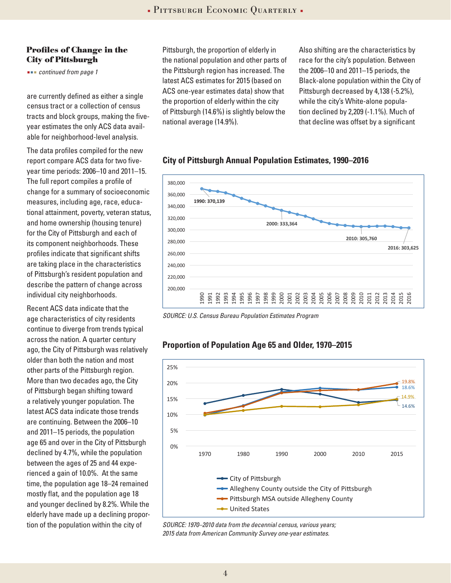#### **Profiles of Change in the City of Pittsburgh**

 *continued from page 1*

are currently defined as either a single census tract or a collection of census tracts and block groups, making the fiveyear estimates the only ACS data available for neighborhood-level analysis.

The data profiles compiled for the new report compare ACS data for two fiveyear time periods: 2006–10 and 2011–15. The full report compiles a profile of change for a summary of socioeconomic measures, including age, race, educational attainment, poverty, veteran status, and home ownership (housing tenure) for the City of Pittsburgh and each of its component neighborhoods. These profiles indicate that significant shifts are taking place in the characteristics of Pittsburgh's resident population and describe the pattern of change across individual city neighborhoods.

Recent ACS data indicate that the age characteristics of city residents continue to diverge from trends typical across the nation. A quarter century ago, the City of Pittsburgh was relatively older than both the nation and most other parts of the Pittsburgh region. More than two decades ago, the City of Pittsburgh began shifting toward a relatively younger population. The latest ACS data indicate those trends are continuing. Between the 2006–10 and 2011–15 periods, the population age 65 and over in the City of Pittsburgh declined by 4.7%, while the population between the ages of 25 and 44 experienced a gain of 10.0%. At the same time, the population age 18–24 remained mostly flat, and the population age 18 and younger declined by 8.2%. While the elderly have made up a declining proportion of the population within the city of

Pittsburgh, the proportion of elderly in the national population and other parts of the Pittsburgh region has increased. The latest ACS estimates for 2015 (based on ACS one-year estimates data) show that the proportion of elderly within the city of Pittsburgh (14.6%) is slightly below the national average (14.9%).

Also shifting are the characteristics by race for the city's population. Between the 2006–10 and 2011–15 periods, the Black-alone population within the City of Pittsburgh decreased by 4,138 (-5.2%), while the city's White-alone population declined by 2,209 (-1.1%). Much of that decline was offset by a significant

#### **City of Pittsburgh Annual Population Estimates, 1990–2016**



*SOURCE: U.S. Census Bureau Population Estimates Program*



#### **Proportion of Population Age 65 and Older, 1970–2015**

*SOURCE: 1970–2010 data from the decennial census, various years; 2015 data from American Community Survey one-year estimates.*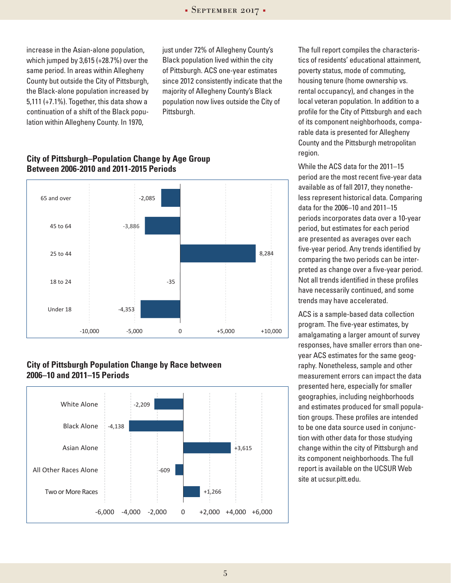increase in the Asian-alone population, which jumped by 3,615 (+28.7%) over the same period. In areas within Allegheny County but outside the City of Pittsburgh, the Black-alone population increased by 5,111 (+7.1%). Together, this data show a continuation of a shift of the Black population within Allegheny County. In 1970,

just under 72% of Allegheny County's Black population lived within the city of Pittsburgh. ACS one-year estimates since 2012 consistently indicate that the majority of Allegheny County's Black population now lives outside the City of Pittsburgh.

#### **City of Pittsburgh–Population Change by Age Group Between 2006-2010 and 2011-2015 Periods**



#### **City of Pittsburgh Population Change by Race between 2006–10 and 2011–15 Periods**



The full report compiles the characteristics of residents' educational attainment, poverty status, mode of commuting, housing tenure (home ownership vs. rental occupancy), and changes in the local veteran population. In addition to a profile for the City of Pittsburgh and each of its component neighborhoods, comparable data is presented for Allegheny County and the Pittsburgh metropolitan region.

While the ACS data for the 2011–15 period are the most recent five-year data available as of fall 2017, they nonetheless represent historical data. Comparing data for the 2006–10 and 2011–15 periods incorporates data over a 10-year period, but estimates for each period are presented as averages over each five-year period. Any trends identified by comparing the two periods can be interpreted as change over a five-year period. Not all trends identified in these profiles have necessarily continued, and some trends may have accelerated.

ACS is a sample-based data collection program. The five-year estimates, by amalgamating a larger amount of survey responses, have smaller errors than oneyear ACS estimates for the same geography. Nonetheless, sample and other measurement errors can impact the data presented here, especially for smaller geographies, including neighborhoods and estimates produced for small population groups. These profiles are intended to be one data source used in conjunction with other data for those studying change within the city of Pittsburgh and its component neighborhoods. The full report is available on the UCSUR Web site at ucsur.pitt.edu.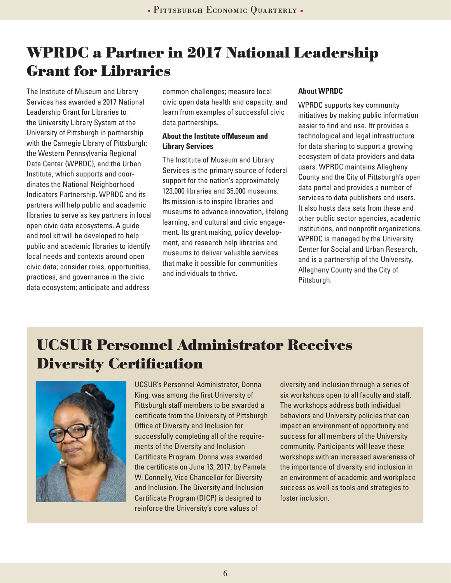### **WPRDC a Partner in 2017 National Leadership Grant for Libraries**

The Institute of Museum and Library Services has awarded a 2017 National Leadership Grant for Libraries to the University Library System at the University of Pittsburgh in partnership with the Carnegie Library of Pittsburgh; the Western Pennsylvania Regional Data Center (WPRDC), and the Urban Institute, which supports and coordinates the National Neighborhood Indicators Partnership. WPRDC and its partners will help public and academic libraries to serve as key partners in local open civic data ecosystems. A guide and tool kit will be developed to help public and academic libraries to identify local needs and contexts around open civic data; consider roles, opportunities, practices, and governance in the civic data ecosystem; anticipate and address

common challenges; measure local civic open data health and capacity; and learn from examples of successful civic data partnerships.

#### **About the Institute ofMuseum and Library Services**

The Institute of Museum and Library Services is the primary source of federal support for the nation's approximately 123,000 libraries and 35,000 museums. Its mission is to inspire libraries and museums to advance innovation, lifelong learning, and cultural and civic engagement. Its grant making, policy development, and research help libraries and museums to deliver valuable services that make it possible for communities and individuals to thrive.

#### **About WPRDC**

WPRDC supports key community initiatives by making public information easier to find and use. Itr provides a technological and legal infrastructure for data sharing to support a growing ecosystem of data providers and data users. WPRDC maintains Allegheny County and the City of Pittsburgh's open data portal and provides a number of services to data publishers and users. It also hosts data sets from these and other public sector agencies, academic institutions, and nonprofit organizations. WPRDC is managed by the University Center for Social and Urban Research, and is a partnership of the University, Allegheny County and the City of Pittsburgh.

### **UCSUR Personnel Administrator Receives Diversity Certification**



UCSUR's Personnel Administrator, Donna King, was among the first University of Pittsburgh staff members to be awarded a certificate from the University of Pittsburgh Office of Diversity and Inclusion for successfully completing all of the requirements of the Diversity and Inclusion Certificate Program. Donna was awarded the certificate on June 13, 2017, by Pamela W. Connelly, Vice Chancellor for Diversity and Inclusion. The Diversity and Inclusion Certificate Program (DICP) is designed to reinforce the University's core values of

diversity and inclusion through a series of six workshops open to all faculty and staff. The workshops address both individual behaviors and University policies that can impact an environment of opportunity and success for all members of the University community. Participants will leave these workshops with an increased awareness of the importance of diversity and inclusion in an environment of academic and workplace success as well as tools and strategies to foster inclusion.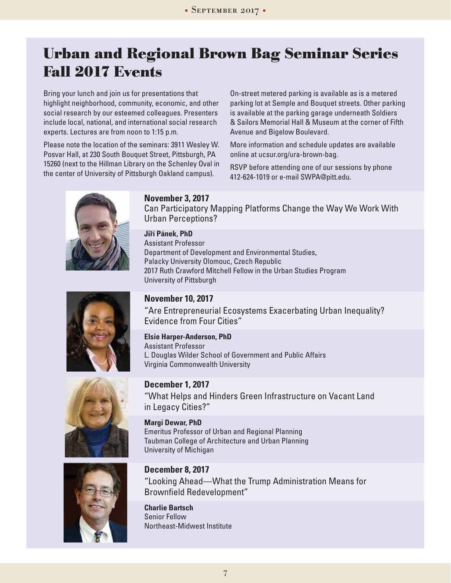### **Urban and Regional Brown Bag Seminar Series Fall 2017 Events**

Bring your lunch and join us for presentations that highlight neighborhood, community, economic, and other social research by our esteemed colleagues. Presenters include local, national, and international social research experts. Lectures are from noon to 1:15 p.m.

Please note the location of the seminars: 3911 Wesley W. Posvar Hall, at 230 South Bouquet Street, Pittsburgh, PA 15260 (next to the Hillman Library on the Schenley Oval in the center of University of Pittsburgh Oakland campus).

On-street metered parking is available as is a metered parking lot at Semple and Bouquet streets. Other parking is available at the parking garage underneath Soldiers & Sailors Memorial Hall & Museum at the corner of Fifth Avenue and Bigelow Boulevard.

More information and schedule updates are available online at ucsur.org/ura-brown-bag.

RSVP before attending one of our sessions by phone 412-624-1019 or e-mail SWPA@pitt.edu.



#### **" November 3, 2017**

Can Participatory Mapping Platforms Change the Way We Work With Urban Perceptions?

**Jirí Pánek, PhD** Assistant Professor Department of Development and Environmental Studies, Palacky University Olomouc, Czech Republic 2017 Ruth Crawford Mitchell Fellow in the Urban Studies Program University of Pittsburgh

#### **November 10, 2017**

"Are Entrepreneurial Ecosystems Exacerbating Urban Inequality? Evidence from Four Cities"

**Elsie Harper-Anderson, PhD** Assistant Professor L. Douglas Wilder School of Government and Public Affairs Virginia Commonwealth University

#### **December 1, 2017**

"What Helps and Hinders Green Infrastructure on Vacant Land in Legacy Cities?"

**Margi Dewar, PhD** Emeritus Professor of Urban and Regional Planning Taubman College of Architecture and Urban Planning University of Michigan



**December 8, 2017** "Looking Ahead—What the Trump Administration Means for Brownfield Redevelopment"

**Charlie Bartsch** Senior Fellow Northeast-Midwest Institute